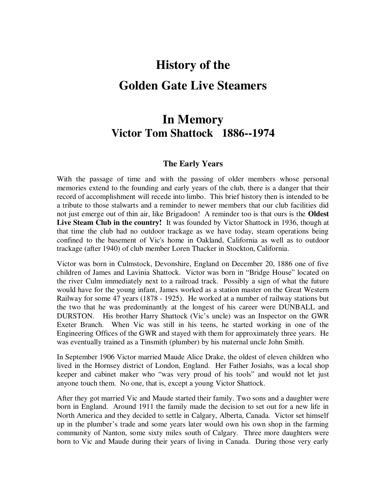# **History of the Golden Gate Live Steamers**

### **In Memory Victor Tom Shattock 1886--1974**

#### **The Early Years**

With the passage of time and with the passing of older members whose personal memories extend to the founding and early years of the club, there is a danger that their record of accomplishment will recede into limbo. This brief history then is intended to be a tribute to those stalwarts and a reminder to newer members that our club facilities did not just emerge out of thin air, like Brigadoon! A reminder too is that ours is the **Oldest Live Steam Club in the country!** It was founded by Victor Shattock in 1936, though at that time the club had no outdoor trackage as we have today, steam operations being confined to the basement of Vic's home in Oakland, California as well as to outdoor trackage (after 1940) of club member Loren Thacker in Stockton, California.

Victor was born in Culmstock, Devonshire, England on December 20, 1886 one of five children of James and Lavinia Shattock. Victor was born in "Bridge House" located on the river Culm immediately next to a railroad track. Possibly a sign of what the future would have for the young infant, James worked as a station master on the Great Western Railway for some 47 years (1878 - 1925). He worked at a number of railway stations but the two that he was predominantly at the longest of his career were DUNBALL and DURSTON. His brother Harry Shattock (Vic's uncle) was an Inspector on the GWR Exeter Branch. When Vic was still in his teens, he started working in one of the Engineering Offices of the GWR and stayed with them for approximately three years. He was eventually trained as a Tinsmith (plumber) by his maternal uncle John Smith.

In September 1906 Victor married Maude Alice Drake, the oldest of eleven children who lived in the Hornsey district of London, England. Her Father Josiahs, was a local shop keeper and cabinet maker who "was very proud of his tools" and would not let just anyone touch them. No one, that is, except a young Victor Shattock.

After they got married Vic and Maude started their family. Two sons and a daughter were born in England. Around 1911 the family made the decision to set out for a new life in North America and they decided to settle in Calgary, Alberta, Canada. Victor set himself up in the plumber's trade and some years later would own his own shop in the farming community of Nanton, some sixty miles south of Calgary. Three more daughters were born to Vic and Maude during their years of living in Canada. During those very early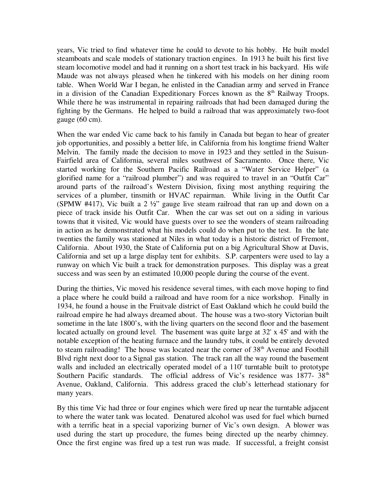years, Vic tried to find whatever time he could to devote to his hobby. He built model steamboats and scale models of stationary traction engines. In 1913 he built his first live steam locomotive model and had it running on a short test track in his backyard. His wife Maude was not always pleased when he tinkered with his models on her dining room table. When World War I began, he enlisted in the Canadian army and served in France in a division of the Canadian Expeditionary Forces known as the  $8<sup>th</sup>$  Railway Troops. While there he was instrumental in repairing railroads that had been damaged during the fighting by the Germans. He helped to build a railroad that was approximately two-foot gauge (60 cm).

When the war ended Vic came back to his family in Canada but began to hear of greater job opportunities, and possibly a better life, in California from his longtime friend Walter Melvin. The family made the decision to move in 1923 and they settled in the Suisun-Fairfield area of California, several miles southwest of Sacramento. Once there, Vic started working for the Southern Pacific Railroad as a "Water Service Helper" (a glorified name for a "railroad plumber") and was required to travel in an "Outfit Car" around parts of the railroad's Western Division, fixing most anything requiring the services of a plumber, tinsmith or HVAC repairman. While living in the Outfit Car (SPMW #417), Vic built a  $2 \frac{1}{2}$  gauge live steam railroad that ran up and down on a piece of track inside his Outfit Car. When the car was set out on a siding in various towns that it visited, Vic would have guests over to see the wonders of steam railroading in action as he demonstrated what his models could do when put to the test. In the late twenties the family was stationed at Niles in what today is a historic district of Fremont, California. About 1930, the State of California put on a big Agricultural Show at Davis, California and set up a large display tent for exhibits. S.P. carpenters were used to lay a runway on which Vic built a track for demonstration purposes. This display was a great success and was seen by an estimated 10,000 people during the course of the event.

During the thirties, Vic moved his residence several times, with each move hoping to find a place where he could build a railroad and have room for a nice workshop. Finally in 1934, he found a house in the Fruitvale district of East Oakland which he could build the railroad empire he had always dreamed about. The house was a two-story Victorian built sometime in the late 1800's, with the living quarters on the second floor and the basement located actually on ground level. The basement was quite large at 32' x 45' and with the notable exception of the heating furnace and the laundry tubs, it could be entirely devoted to steam railroading! The house was located near the corner of  $38<sup>th</sup>$  Avenue and Foothill Blvd right next door to a Signal gas station. The track ran all the way round the basement walls and included an electrically operated model of a 110' turntable built to prototype Southern Pacific standards. The official address of Vic's residence was 1877- 38<sup>th</sup> Avenue, Oakland, California. This address graced the club's letterhead stationary for many years.

By this time Vic had three or four engines which were fired up near the turntable adjacent to where the water tank was located. Denatured alcohol was used for fuel which burned with a terrific heat in a special vaporizing burner of Vic's own design. A blower was used during the start up procedure, the fumes being directed up the nearby chimney. Once the first engine was fired up a test run was made. If successful, a freight consist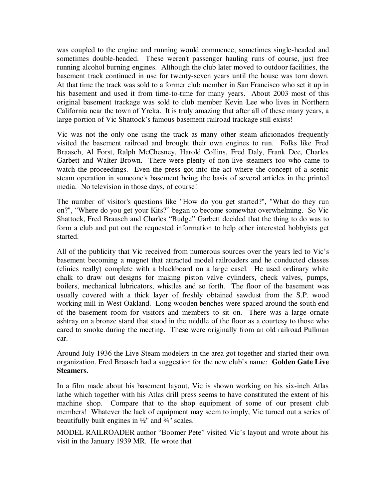was coupled to the engine and running would commence, sometimes single-headed and sometimes double-headed. These weren't passenger hauling runs of course, just free running alcohol burning engines. Although the club later moved to outdoor facilities, the basement track continued in use for twenty-seven years until the house was torn down. At that time the track was sold to a former club member in San Francisco who set it up in his basement and used it from time-to-time for many years. About 2003 most of this original basement trackage was sold to club member Kevin Lee who lives in Northern California near the town of Yreka. It is truly amazing that after all of these many years, a large portion of Vic Shattock's famous basement railroad trackage still exists!

Vic was not the only one using the track as many other steam aficionados frequently visited the basement railroad and brought their own engines to run. Folks like Fred Braasch, Al Forst, Ralph McChesney, Harold Collins, Fred Daly, Frank Dee, Charles Garbett and Walter Brown. There were plenty of non-live steamers too who came to watch the proceedings. Even the press got into the act where the concept of a scenic steam operation in someone's basement being the basis of several articles in the printed media. No television in those days, of course!

The number of visitor's questions like "How do you get started?", "What do they run on?", "Where do you get your Kits?" began to become somewhat overwhelming. So Vic Shattock, Fred Braasch and Charles "Budge" Garbett decided that the thing to do was to form a club and put out the requested information to help other interested hobbyists get started.

All of the publicity that Vic received from numerous sources over the years led to Vic's basement becoming a magnet that attracted model railroaders and he conducted classes (clinics really) complete with a blackboard on a large easel. He used ordinary white chalk to draw out designs for making piston valve cylinders, check valves, pumps, boilers, mechanical lubricators, whistles and so forth. The floor of the basement was usually covered with a thick layer of freshly obtained sawdust from the S.P. wood working mill in West Oakland. Long wooden benches were spaced around the south end of the basement room for visitors and members to sit on. There was a large ornate ashtray on a bronze stand that stood in the middle of the floor as a courtesy to those who cared to smoke during the meeting. These were originally from an old railroad Pullman car.

Around July 1936 the Live Steam modelers in the area got together and started their own organization. Fred Braasch had a suggestion for the new club's name: **Golden Gate Live Steamers**.

In a film made about his basement layout, Vic is shown working on his six-inch Atlas lathe which together with his Atlas drill press seems to have constituted the extent of his machine shop. Compare that to the shop equipment of some of our present club members! Whatever the lack of equipment may seem to imply, Vic turned out a series of beautifully built engines in  $\frac{1}{2}$ " and  $\frac{3}{4}$ " scales.

MODEL RAILROADER author "Boomer Pete" visited Vic's layout and wrote about his visit in the January 1939 MR. He wrote that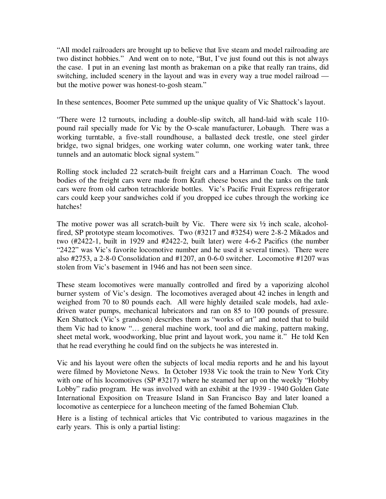"All model railroaders are brought up to believe that live steam and model railroading are two distinct hobbies." And went on to note, "But, I've just found out this is not always the case. I put in an evening last month as brakeman on a pike that really ran trains, did switching, included scenery in the layout and was in every way a true model railroad but the motive power was honest-to-gosh steam."

In these sentences, Boomer Pete summed up the unique quality of Vic Shattock's layout.

"There were 12 turnouts, including a double-slip switch, all hand-laid with scale 110 pound rail specially made for Vic by the O-scale manufacturer, Lobaugh. There was a working turntable, a five-stall roundhouse, a ballasted deck trestle, one steel girder bridge, two signal bridges, one working water column, one working water tank, three tunnels and an automatic block signal system."

Rolling stock included 22 scratch-built freight cars and a Harriman Coach. The wood bodies of the freight cars were made from Kraft cheese boxes and the tanks on the tank cars were from old carbon tetrachloride bottles. Vic's Pacific Fruit Express refrigerator cars could keep your sandwiches cold if you dropped ice cubes through the working ice hatches!

The motive power was all scratch-built by Vic. There were six  $\frac{1}{2}$  inch scale, alcoholfired, SP prototype steam locomotives. Two (#3217 and #3254) were 2-8-2 Mikados and two (#2422-1, built in 1929 and #2422-2, built later) were 4-6-2 Pacifics (the number "2422" was Vic's favorite locomotive number and he used it several times). There were also #2753, a 2-8-0 Consolidation and #1207, an 0-6-0 switcher. Locomotive #1207 was stolen from Vic's basement in 1946 and has not been seen since.

These steam locomotives were manually controlled and fired by a vaporizing alcohol burner system of Vic's design. The locomotives averaged about 42 inches in length and weighed from 70 to 80 pounds each. All were highly detailed scale models, had axledriven water pumps, mechanical lubricators and ran on 85 to 100 pounds of pressure. Ken Shattock (Vic's grandson) describes them as "works of art" and noted that to build them Vic had to know "… general machine work, tool and die making, pattern making, sheet metal work, woodworking, blue print and layout work, you name it." He told Ken that he read everything he could find on the subjects he was interested in.

Vic and his layout were often the subjects of local media reports and he and his layout were filmed by Movietone News. In October 1938 Vic took the train to New York City with one of his locomotives (SP #3217) where he steamed her up on the weekly "Hobby" Lobby" radio program. He was involved with an exhibit at the 1939 - 1940 Golden Gate International Exposition on Treasure Island in San Francisco Bay and later loaned a locomotive as centerpiece for a luncheon meeting of the famed Bohemian Club.

Here is a listing of technical articles that Vic contributed to various magazines in the early years. This is only a partial listing: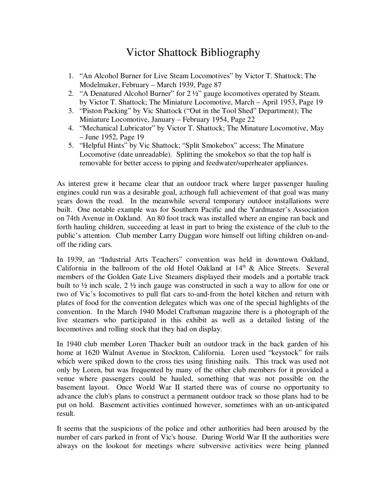### Victor Shattock Bibliography

- 1. "An Alcohol Burner for Live Steam Locomotives" by Victor T. Shattock; The Modelmaker, February – March 1939, Page 87
- 2. "A Denatured Alcohol Burner" for 2 ½" gauge locomotives operated by Steam. by Victor T. Shattock; The Miniature Locomotive, March – April 1953, Page 19
- 3. "Piston Packing" by Vic Shattock ("Out in the Tool Shed" Department); The Miniature Locomotive, January – February 1954, Page 22
- 4. "Mechanical Lubricator" by Victor T. Shattock; The Minature Locomotive, May – June 1952, Page 19
- 5. "Helpful Hints" by Vic Shattock; "Split Smokebox" access; The Minature Locomotive (date unreadable). Splitting the smokebox so that the top half is removable for better access to piping and feedwater/superheater appliances.

As interest grew it became clear that an outdoor track where larger passenger hauling engines could run was a desirable goal, a;though full achievement of that goal was many years down the road. In the meanwhile several temporary outdoor installations were built. One notable example was for Southern Pacific and the Yardmaster's Association on 74th Avenue in Oakland. An 80 foot track was installed where an engine ran back and forth hauling children, succeeding at least in part to bring the existence of the club to the public's attention. Club member Larry Duggan wore himself out lifting children on-andoff the riding cars.

In 1939, an "Industrial Arts Teachers" convention was held in downtown Oakland, California in the ballroom of the old Hotel Oakland at  $14<sup>th</sup>$  & Alice Streets. Several members of the Golden Gate Live Steamers displayed their models and a portable track built to ½ inch scale, 2 ½ inch gauge was constructed in such a way to allow for one or two of Vic's locomotives to pull flat cars to-and-from the hotel kitchen and return with plates of food for the convention delegates which was one of the special highlights of the convention. In the March 1940 Model Craftsman magazine there is a photograph of the live steamers who participated in this exhibit as well as a detailed listing of the locomotives and rolling stock that they had on display.

In 1940 club member Loren Thacker built an outdoor track in the back garden of his home at 1620 Walnut Avenue in Stockton, California. Loren used "keystock" for rails which were spiked down to the cross ties using finishing nails. This track was used not only by Loren, but was frequented by many of the other club members for it provided a venue where passengers could be hauled, something that was not possible on the basement layout. Once World War II started there was of course no opportunity to advance the club's plans to construct a permanent outdoor track so those plans had to be put on hold. Basement activities continued however, sometimes with an un-anticipated result.

It seems that the suspicions of the police and other authorities had been aroused by the number of cars parked in front of Vic's house. During World War II the authorities were always on the lookout for meetings where subversive activities were being planned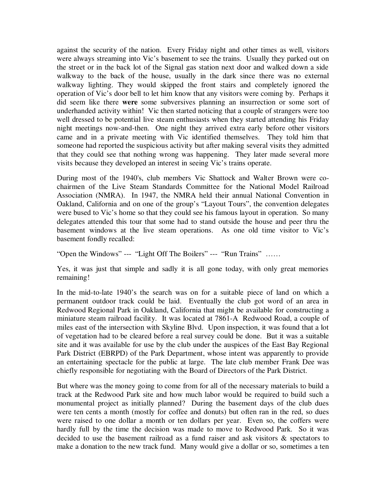against the security of the nation. Every Friday night and other times as well, visitors were always streaming into Vic's basement to see the trains. Usually they parked out on the street or in the back lot of the Signal gas station next door and walked down a side walkway to the back of the house, usually in the dark since there was no external walkway lighting. They would skipped the front stairs and completely ignored the operation of Vic's door bell to let him know that any visitors were coming by. Perhaps it did seem like there **were** some subversives planning an insurrection or some sort of underhanded activity within! Vic then started noticing that a couple of strangers were too well dressed to be potential live steam enthusiasts when they started attending his Friday night meetings now-and-then. One night they arrived extra early before other visitors came and in a private meeting with Vic identified themselves. They told him that someone had reported the suspicious activity but after making several visits they admitted that they could see that nothing wrong was happening. They later made several more visits because they developed an interest in seeing Vic's trains operate.

During most of the 1940's, club members Vic Shattock and Walter Brown were cochairmen of the Live Steam Standards Committee for the National Model Railroad Association (NMRA). In 1947, the NMRA held their annual National Convention in Oakland, California and on one of the group's "Layout Tours", the convention delegates were bused to Vic's home so that they could see his famous layout in operation. So many delegates attended this tour that some had to stand outside the house and peer thru the basement windows at the live steam operations. As one old time visitor to Vic's basement fondly recalled:

"Open the Windows" --- "Light Off The Boilers" --- "Run Trains" ……

Yes, it was just that simple and sadly it is all gone today, with only great memories remaining!

In the mid-to-late 1940's the search was on for a suitable piece of land on which a permanent outdoor track could be laid. Eventually the club got word of an area in Redwood Regional Park in Oakland, California that might be available for constructing a miniature steam railroad facility. It was located at 7861-A Redwood Road, a couple of miles east of the intersection with Skyline Blvd. Upon inspection, it was found that a lot of vegetation had to be cleared before a real survey could be done. But it was a suitable site and it was available for use by the club under the auspices of the East Bay Regional Park District (EBRPD) of the Park Department, whose intent was apparently to provide an entertaining spectacle for the public at large. The late club member Frank Dee was chiefly responsible for negotiating with the Board of Directors of the Park District.

But where was the money going to come from for all of the necessary materials to build a track at the Redwood Park site and how much labor would be required to build such a monumental project as initially planned? During the basement days of the club dues were ten cents a month (mostly for coffee and donuts) but often ran in the red, so dues were raised to one dollar a month or ten dollars per year. Even so, the coffers were hardly full by the time the decision was made to move to Redwood Park. So it was decided to use the basement railroad as a fund raiser and ask visitors & spectators to make a donation to the new track fund. Many would give a dollar or so, sometimes a ten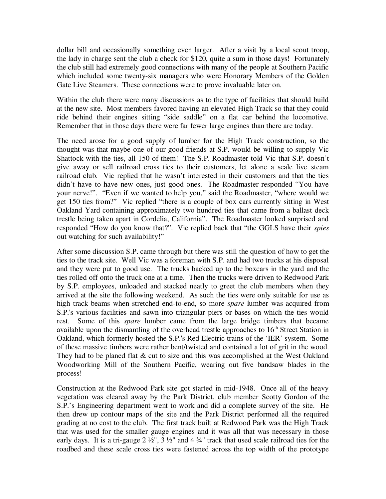dollar bill and occasionally something even larger. After a visit by a local scout troop, the lady in charge sent the club a check for \$120, quite a sum in those days! Fortunately the club still had extremely good connections with many of the people at Southern Pacific which included some twenty-six managers who were Honorary Members of the Golden Gate Live Steamers. These connections were to prove invaluable later on.

Within the club there were many discussions as to the type of facilities that should build at the new site. Most members favored having an elevated High Track so that they could ride behind their engines sitting "side saddle" on a flat car behind the locomotive. Remember that in those days there were far fewer large engines than there are today.

The need arose for a good supply of lumber for the High Track construction, so the thought was that maybe one of our good friends at S.P. would be willing to supply Vic Shattock with the ties, all 150 of them! The S.P. Roadmaster told Vic that S.P. doesn't give away or sell railroad cross ties to their customers, let alone a scale live steam railroad club. Vic replied that he wasn't interested in their customers and that the ties didn't have to have new ones, just good ones. The Roadmaster responded "You have your nerve!". "Even if we wanted to help you," said the Roadmaster, "where would we get 150 ties from?" Vic replied "there is a couple of box cars currently sitting in West Oakland Yard containing approximately two hundred ties that came from a ballast deck trestle being taken apart in Cordelia, California". The Roadmaster looked surprised and responded "How do you know that?". Vic replied back that "the GGLS have their *spies*  out watching for such availability!"

After some discussion S.P. came through but there was still the question of how to get the ties to the track site. Well Vic was a foreman with S.P. and had two trucks at his disposal and they were put to good use. The trucks backed up to the boxcars in the yard and the ties rolled off onto the truck one at a time. Then the trucks were driven to Redwood Park by S.P. employees, unloaded and stacked neatly to greet the club members when they arrived at the site the following weekend. As such the ties were only suitable for use as high track beams when stretched end-to-end, so more *spare* lumber was acquired from S.P.'s various facilities and sawn into triangular piers or bases on which the ties would rest. Some of this *spare* lumber came from the large bridge timbers that became available upon the dismantling of the overhead trestle approaches to  $16<sup>th</sup>$  Street Station in Oakland, which formerly hosted the S.P.'s Red Electric trains of the 'IER' system. Some of these massive timbers were rather bent/twisted and contained a lot of grit in the wood. They had to be planed flat & cut to size and this was accomplished at the West Oakland Woodworking Mill of the Southern Pacific, wearing out five bandsaw blades in the process!

Construction at the Redwood Park site got started in mid-1948. Once all of the heavy vegetation was cleared away by the Park District, club member Scotty Gordon of the S.P.'s Engineering department went to work and did a complete survey of the site. He then drew up contour maps of the site and the Park District performed all the required grading at no cost to the club. The first track built at Redwood Park was the High Track that was used for the smaller gauge engines and it was all that was necessary in those early days. It is a tri-gauge  $2\frac{1}{2}$ ,  $3\frac{1}{2}$  and  $4\frac{3}{4}$  track that used scale railroad ties for the roadbed and these scale cross ties were fastened across the top width of the prototype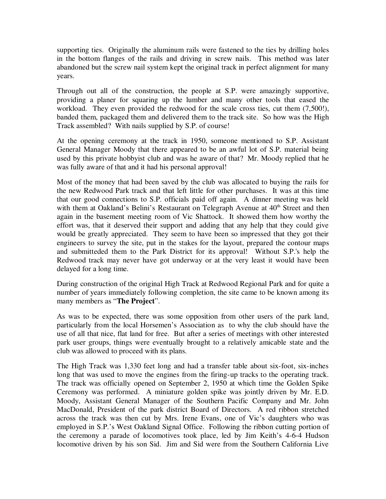supporting ties. Originally the aluminum rails were fastened to the ties by drilling holes in the bottom flanges of the rails and driving in screw nails. This method was later abandoned but the screw nail system kept the original track in perfect alignment for many years.

Through out all of the construction, the people at S.P. were amazingly supportive, providing a planer for squaring up the lumber and many other tools that eased the workload. They even provided the redwood for the scale cross ties, cut them (7,500!), banded them, packaged them and delivered them to the track site. So how was the High Track assembled? With nails supplied by S.P. of course!

At the opening ceremony at the track in 1950, someone mentioned to S.P. Assistant General Manager Moody that there appeared to be an awful lot of S.P. material being used by this private hobbyist club and was he aware of that? Mr. Moody replied that he was fully aware of that and it had his personal approval!

Most of the money that had been saved by the club was allocated to buying the rails for the new Redwood Park track and that left little for other purchases. It was at this time that our good connections to S.P. officials paid off again. A dinner meeting was held with them at Oakland's Belini's Restaurant on Telegraph Avenue at  $40<sup>th</sup>$  Street and then again in the basement meeting room of Vic Shattock. It showed them how worthy the effort was, that it deserved their support and adding that any help that they could give would be greatly appreciated. They seem to have been so impressed that they got their engineers to survey the site, put in the stakes for the layout, prepared the contour maps and submitteded them to the Park District for its approval! Without S.P.'s help the Redwood track may never have got underway or at the very least it would have been delayed for a long time.

During construction of the original High Track at Redwood Regional Park and for quite a number of years immediately following completion, the site came to be known among its many members as "**The Project**".

As was to be expected, there was some opposition from other users of the park land, particularly from the local Horsemen's Association as to why the club should have the use of all that nice, flat land for free. But after a series of meetings with other interested park user groups, things were eventually brought to a relatively amicable state and the club was allowed to proceed with its plans.

The High Track was 1,330 feet long and had a transfer table about six-foot, six-inches long that was used to move the engines from the firing-up tracks to the operating track. The track was officially opened on September 2, 1950 at which time the Golden Spike Ceremony was performed. A miniature golden spike was jointly driven by Mr. E.D. Moody, Assistant General Manager of the Southern Pacific Company and Mr. John MacDonald, President of the park district Board of Directors. A red ribbon stretched across the track was then cut by Mrs. Irene Evans, one of Vic's daughters who was employed in S.P.'s West Oakland Signal Office. Following the ribbon cutting portion of the ceremony a parade of locomotives took place, led by Jim Keith's 4-6-4 Hudson locomotive driven by his son Sid. Jim and Sid were from the Southern California Live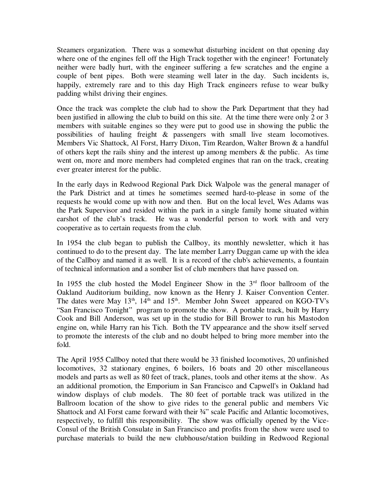Steamers organization. There was a somewhat disturbing incident on that opening day where one of the engines fell off the High Track together with the engineer! Fortunately neither were badly hurt, with the engineer suffering a few scratches and the engine a couple of bent pipes. Both were steaming well later in the day. Such incidents is, happily, extremely rare and to this day High Track engineers refuse to wear bulky padding whilst driving their engines.

Once the track was complete the club had to show the Park Department that they had been justified in allowing the club to build on this site. At the time there were only 2 or 3 members with suitable engines so they were put to good use in showing the public the possibilities of hauling freight & passengers with small live steam locomotives. Members Vic Shattock, Al Forst, Harry Dixon, Tim Reardon, Walter Brown & a handful of others kept the rails shiny and the interest up among members  $\&$  the public. As time went on, more and more members had completed engines that ran on the track, creating ever greater interest for the public.

In the early days in Redwood Regional Park Dick Walpole was the general manager of the Park District and at times he sometimes seemed hard-to-please in some of the requests he would come up with now and then. But on the local level, Wes Adams was the Park Supervisor and resided within the park in a single family home situated within earshot of the club's track. He was a wonderful person to work with and very cooperative as to certain requests from the club.

In 1954 the club began to publish the Callboy, its monthly newsletter, which it has continued to do to the present day. The late member Larry Duggan came up with the idea of the Callboy and named it as well. It is a record of the club's achievements, a fountain of technical information and a somber list of club members that have passed on.

In 1955 the club hosted the Model Engineer Show in the  $3<sup>rd</sup>$  floor ballroom of the Oakland Auditorium building, now known as the Henry J. Kaiser Convention Center. The dates were May 13<sup>th</sup>, 14<sup>th</sup> and 15<sup>th</sup>. Member John Sweet appeared on KGO-TV's "San Francisco Tonight" program to promote the show. A portable track, built by Harry Cook and Bill Anderson, was set up in the studio for Bill Brower to run his Mastodon engine on, while Harry ran his Tich. Both the TV appearance and the show itself served to promote the interests of the club and no doubt helped to bring more member into the fold.

The April 1955 Callboy noted that there would be 33 finished locomotives, 20 unfinished locomotives, 32 stationary engines, 6 boilers, 16 boats and 20 other miscellaneous models and parts as well as 80 feet of track, planes, tools and other items at the show. As an additional promotion, the Emporium in San Francisco and Capwell's in Oakland had window displays of club models. The 80 feet of portable track was utilized in the Ballroom location of the show to give rides to the general public and members Vic Shattock and Al Forst came forward with their  $\frac{3}{4}$ " scale Pacific and Atlantic locomotives, respectively, to fulfill this responsibility. The show was officially opened by the Vice-Consul of the British Consulate in San Francisco and profits from the show were used to purchase materials to build the new clubhouse/station building in Redwood Regional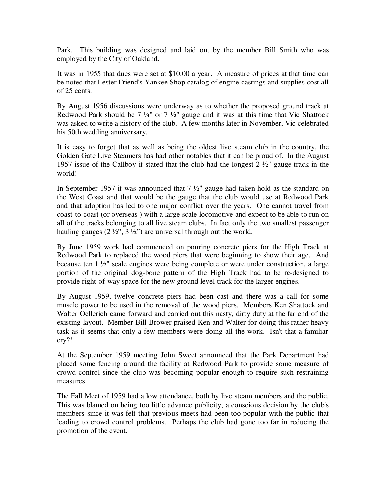Park. This building was designed and laid out by the member Bill Smith who was employed by the City of Oakland.

It was in 1955 that dues were set at \$10.00 a year. A measure of prices at that time can be noted that Lester Friend's Yankee Shop catalog of engine castings and supplies cost all of 25 cents.

By August 1956 discussions were underway as to whether the proposed ground track at Redwood Park should be  $7\frac{1}{4}$ " or  $7\frac{1}{2}$ " gauge and it was at this time that Vic Shattock was asked to write a history of the club. A few months later in November, Vic celebrated his 50th wedding anniversary.

It is easy to forget that as well as being the oldest live steam club in the country, the Golden Gate Live Steamers has had other notables that it can be proud of. In the August 1957 issue of the Callboy it stated that the club had the longest 2 ½" gauge track in the world!

In September 1957 it was announced that 7 ½" gauge had taken hold as the standard on the West Coast and that would be the gauge that the club would use at Redwood Park and that adoption has led to one major conflict over the years. One cannot travel from coast-to-coast (or overseas ) with a large scale locomotive and expect to be able to run on all of the tracks belonging to all live steam clubs. In fact only the two smallest passenger hauling gauges  $(2 \frac{1}{2}, 3 \frac{1}{2})$  are universal through out the world.

By June 1959 work had commenced on pouring concrete piers for the High Track at Redwood Park to replaced the wood piers that were beginning to show their age. And because ten 1 ½" scale engines were being complete or were under construction, a large portion of the original dog-bone pattern of the High Track had to be re-designed to provide right-of-way space for the new ground level track for the larger engines.

By August 1959, twelve concrete piers had been cast and there was a call for some muscle power to be used in the removal of the wood piers. Members Ken Shattock and Walter Oellerich came forward and carried out this nasty, dirty duty at the far end of the existing layout. Member Bill Brower praised Ken and Walter for doing this rather heavy task as it seems that only a few members were doing all the work. Isn't that a familiar cry?!

At the September 1959 meeting John Sweet announced that the Park Department had placed some fencing around the facility at Redwood Park to provide some measure of crowd control since the club was becoming popular enough to require such restraining measures.

The Fall Meet of 1959 had a low attendance, both by live steam members and the public. This was blamed on being too little advance publicity, a conscious decision by the club's members since it was felt that previous meets had been too popular with the public that leading to crowd control problems. Perhaps the club had gone too far in reducing the promotion of the event.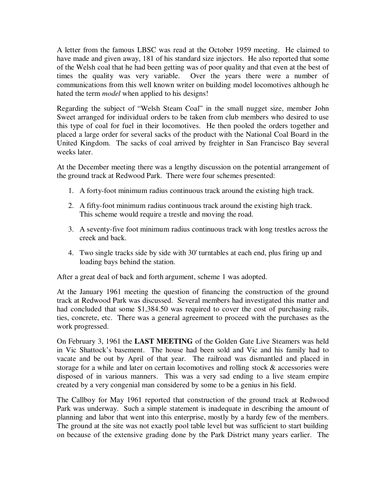A letter from the famous LBSC was read at the October 1959 meeting. He claimed to have made and given away, 181 of his standard size injectors. He also reported that some of the Welsh coal that he had been getting was of poor quality and that even at the best of times the quality was very variable. Over the years there were a number of communications from this well known writer on building model locomotives although he hated the term *model* when applied to his designs!

Regarding the subject of "Welsh Steam Coal" in the small nugget size, member John Sweet arranged for individual orders to be taken from club members who desired to use this type of coal for fuel in their locomotives. He then pooled the orders together and placed a large order for several sacks of the product with the National Coal Board in the United Kingdom. The sacks of coal arrived by freighter in San Francisco Bay several weeks later.

At the December meeting there was a lengthy discussion on the potential arrangement of the ground track at Redwood Park. There were four schemes presented:

- 1. A forty-foot minimum radius continuous track around the existing high track.
- 2. A fifty-foot minimum radius continuous track around the existing high track. This scheme would require a trestle and moving the road.
- 3. A seventy-five foot minimum radius continuous track with long trestles across the creek and back.
- 4. Two single tracks side by side with 30' turntables at each end, plus firing up and loading bays behind the station.

After a great deal of back and forth argument, scheme 1 was adopted.

At the January 1961 meeting the question of financing the construction of the ground track at Redwood Park was discussed. Several members had investigated this matter and had concluded that some \$1,384.50 was required to cover the cost of purchasing rails, ties, concrete, etc. There was a general agreement to proceed with the purchases as the work progressed.

On February 3, 1961 the **LAST MEETING** of the Golden Gate Live Steamers was held in Vic Shattock's basement. The house had been sold and Vic and his family had to vacate and be out by April of that year. The railroad was dismantled and placed in storage for a while and later on certain locomotives and rolling stock & accessories were disposed of in various manners. This was a very sad ending to a live steam empire created by a very congenial man considered by some to be a genius in his field.

The Callboy for May 1961 reported that construction of the ground track at Redwood Park was underway. Such a simple statement is inadequate in describing the amount of planning and labor that went into this enterprise, mostly by a hardy few of the members. The ground at the site was not exactly pool table level but was sufficient to start building on because of the extensive grading done by the Park District many years earlier. The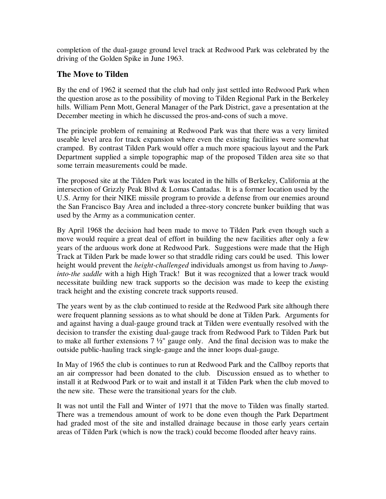completion of the dual-gauge ground level track at Redwood Park was celebrated by the driving of the Golden Spike in June 1963.

### **The Move to Tilden**

By the end of 1962 it seemed that the club had only just settled into Redwood Park when the question arose as to the possibility of moving to Tilden Regional Park in the Berkeley hills. William Penn Mott, General Manager of the Park District, gave a presentation at the December meeting in which he discussed the pros-and-cons of such a move.

The principle problem of remaining at Redwood Park was that there was a very limited useable level area for track expansion where even the existing facilities were somewhat cramped. By contrast Tilden Park would offer a much more spacious layout and the Park Department supplied a simple topographic map of the proposed Tilden area site so that some terrain measurements could be made.

The proposed site at the Tilden Park was located in the hills of Berkeley, California at the intersection of Grizzly Peak Blvd & Lomas Cantadas. It is a former location used by the U.S. Army for their NIKE missile program to provide a defense from our enemies around the San Francisco Bay Area and included a three-story concrete bunker building that was used by the Army as a communication center.

By April 1968 the decision had been made to move to Tilden Park even though such a move would require a great deal of effort in building the new facilities after only a few years of the arduous work done at Redwood Park. Suggestions were made that the High Track at Tilden Park be made lower so that straddle riding cars could be used. This lower height would prevent the *height-challenged* individuals amongst us from having to *Jumpinto-the saddle* with a high High Track! But it was recognized that a lower track would necessitate building new track supports so the decision was made to keep the existing track height and the existing concrete track supports reused.

The years went by as the club continued to reside at the Redwood Park site although there were frequent planning sessions as to what should be done at Tilden Park. Arguments for and against having a dual-gauge ground track at Tilden were eventually resolved with the decision to transfer the existing dual-gauge track from Redwood Park to Tilden Park but to make all further extensions 7 ½" gauge only. And the final decision was to make the outside public-hauling track single-gauge and the inner loops dual-gauge.

In May of 1965 the club is continues to run at Redwood Park and the Callboy reports that an air compressor had been donated to the club. Discussion ensued as to whether to install it at Redwood Park or to wait and install it at Tilden Park when the club moved to the new site. These were the transitional years for the club.

It was not until the Fall and Winter of 1971 that the move to Tilden was finally started. There was a tremendous amount of work to be done even though the Park Department had graded most of the site and installed drainage because in those early years certain areas of Tilden Park (which is now the track) could become flooded after heavy rains.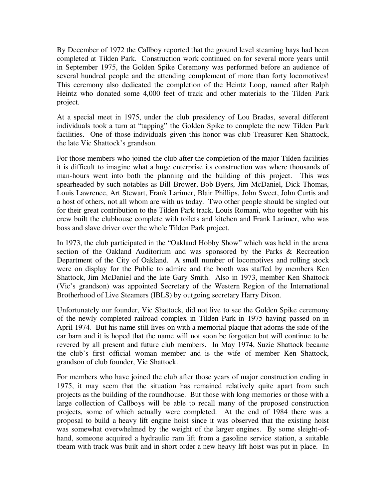By December of 1972 the Callboy reported that the ground level steaming bays had been completed at Tilden Park. Construction work continued on for several more years until in September 1975, the Golden Spike Ceremony was performed before an audience of several hundred people and the attending complement of more than forty locomotives! This ceremony also dedicated the completion of the Heintz Loop, named after Ralph Heintz who donated some 4,000 feet of track and other materials to the Tilden Park project.

At a special meet in 1975, under the club presidency of Lou Bradas, several different individuals took a turn at "tapping" the Golden Spike to complete the new Tilden Park facilities. One of those individuals given this honor was club Treasurer Ken Shattock, the late Vic Shattock's grandson.

For those members who joined the club after the completion of the major Tilden facilities it is difficult to imagine what a huge enterprise its construction was where thousands of man-hours went into both the planning and the building of this project. This was spearheaded by such notables as Bill Brower, Bob Byers, Jim McDaniel, Dick Thomas, Louis Lawrence, Art Stewart, Frank Larimer, Blair Phillips, John Sweet, John Curtis and a host of others, not all whom are with us today. Two other people should be singled out for their great contribution to the Tilden Park track. Louis Romani, who together with his crew built the clubhouse complete with toilets and kitchen and Frank Larimer, who was boss and slave driver over the whole Tilden Park project.

In 1973, the club participated in the "Oakland Hobby Show" which was held in the arena section of the Oakland Auditorium and was sponsored by the Parks & Recreation Department of the City of Oakland. A small number of locomotives and rolling stock were on display for the Public to admire and the booth was staffed by members Ken Shattock, Jim McDaniel and the late Gary Smith. Also in 1973, member Ken Shattock (Vic's grandson) was appointed Secretary of the Western Region of the International Brotherhood of Live Steamers (IBLS) by outgoing secretary Harry Dixon.

Unfortunately our founder, Vic Shattock, did not live to see the Golden Spike ceremony of the newly completed railroad complex in Tilden Park in 1975 having passed on in April 1974. But his name still lives on with a memorial plaque that adorns the side of the car barn and it is hoped that the name will not soon be forgotten but will continue to be revered by all present and future club members. In May 1974, Suzie Shattock became the club's first official woman member and is the wife of member Ken Shattock, grandson of club founder, Vic Shattock.

For members who have joined the club after those years of major construction ending in 1975, it may seem that the situation has remained relatively quite apart from such projects as the building of the roundhouse. But those with long memories or those with a large collection of Callboys will be able to recall many of the proposed construction projects, some of which actually were completed. At the end of 1984 there was a proposal to build a heavy lift engine hoist since it was observed that the existing hoist was somewhat overwhelmed by the weight of the larger engines. By some sleight-ofhand, someone acquired a hydraulic ram lift from a gasoline service station, a suitable tbeam with track was built and in short order a new heavy lift hoist was put in place. In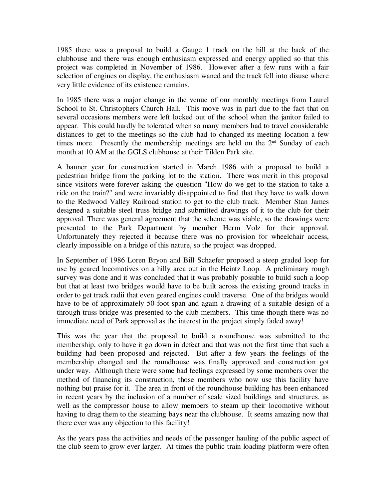1985 there was a proposal to build a Gauge 1 track on the hill at the back of the clubhouse and there was enough enthusiasm expressed and energy applied so that this project was completed in November of 1986. However after a few runs with a fair selection of engines on display, the enthusiasm waned and the track fell into disuse where very little evidence of its existence remains.

In 1985 there was a major change in the venue of our monthly meetings from Laurel School to St. Christophers Church Hall. This move was in part due to the fact that on several occasions members were left locked out of the school when the janitor failed to appear. This could hardly be tolerated when so many members had to travel considerable distances to get to the meetings so the club had to changed its meeting location a few times more. Presently the membership meetings are held on the  $2<sup>nd</sup>$  Sunday of each month at 10 AM at the GGLS clubhouse at their Tilden Park site.

A banner year for construction started in March 1986 with a proposal to build a pedestrian bridge from the parking lot to the station. There was merit in this proposal since visitors were forever asking the question "How do we get to the station to take a ride on the train?" and were invariably disappointed to find that they have to walk down to the Redwood Valley Railroad station to get to the club track. Member Stan James designed a suitable steel truss bridge and submitted drawings of it to the club for their approval. There was general agreement that the scheme was viable, so the drawings were presented to the Park Department by member Herm Volz for their approval. Unfortunately they rejected it because there was no provision for wheelchair access, clearly impossible on a bridge of this nature, so the project was dropped.

In September of 1986 Loren Bryon and Bill Schaefer proposed a steep graded loop for use by geared locomotives on a hilly area out in the Heintz Loop. A preliminary rough survey was done and it was concluded that it was probably possible to build such a loop but that at least two bridges would have to be built across the existing ground tracks in order to get track radii that even geared engines could traverse. One of the bridges would have to be of approximately 50-foot span and again a drawing of a suitable design of a through truss bridge was presented to the club members. This time though there was no immediate need of Park approval as the interest in the project simply faded away!

This was the year that the proposal to build a roundhouse was submitted to the membership, only to have it go down in defeat and that was not the first time that such a building had been proposed and rejected. But after a few years the feelings of the membership changed and the roundhouse was finally approved and construction got under way. Although there were some bad feelings expressed by some members over the method of financing its construction, those members who now use this facility have nothing but praise for it. The area in front of the roundhouse building has been enhanced in recent years by the inclusion of a number of scale sized buildings and structures, as well as the compressor house to allow members to steam up their locomotive without having to drag them to the steaming bays near the clubhouse. It seems amazing now that there ever was any objection to this facility!

As the years pass the activities and needs of the passenger hauling of the public aspect of the club seem to grow ever larger. At times the public train loading platform were often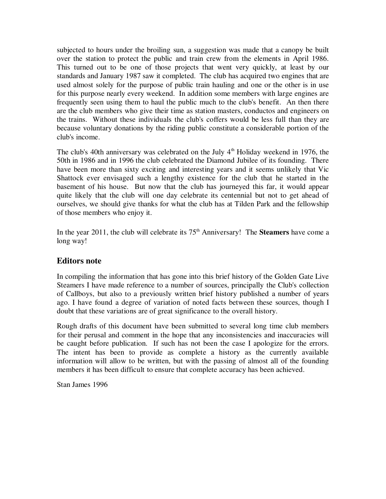subjected to hours under the broiling sun, a suggestion was made that a canopy be built over the station to protect the public and train crew from the elements in April 1986. This turned out to be one of those projects that went very quickly, at least by our standards and January 1987 saw it completed. The club has acquired two engines that are used almost solely for the purpose of public train hauling and one or the other is in use for this purpose nearly every weekend. In addition some members with large engines are frequently seen using them to haul the public much to the club's benefit. An then there are the club members who give their time as station masters, conductos and engineers on the trains. Without these individuals the club's coffers would be less full than they are because voluntary donations by the riding public constitute a considerable portion of the club's income.

The club's 40th anniversary was celebrated on the July  $4<sup>th</sup>$  Holiday weekend in 1976, the 50th in 1986 and in 1996 the club celebrated the Diamond Jubilee of its founding. There have been more than sixty exciting and interesting years and it seems unlikely that Vic Shattock ever envisaged such a lengthy existence for the club that he started in the basement of his house. But now that the club has journeyed this far, it would appear quite likely that the club will one day celebrate its centennial but not to get ahead of ourselves, we should give thanks for what the club has at Tilden Park and the fellowship of those members who enjoy it.

In the year 2011, the club will celebrate its  $75<sup>th</sup>$  Anniversary! The **Steamers** have come a long way!

#### **Editors note**

In compiling the information that has gone into this brief history of the Golden Gate Live Steamers I have made reference to a number of sources, principally the Club's collection of Callboys, but also to a previously written brief history published a number of years ago. I have found a degree of variation of noted facts between these sources, though I doubt that these variations are of great significance to the overall history.

Rough drafts of this document have been submitted to several long time club members for their perusal and comment in the hope that any inconsistencies and inaccuracies will be caught before publication. If such has not been the case I apologize for the errors. The intent has been to provide as complete a history as the currently available information will allow to be written, but with the passing of almost all of the founding members it has been difficult to ensure that complete accuracy has been achieved.

Stan James 1996